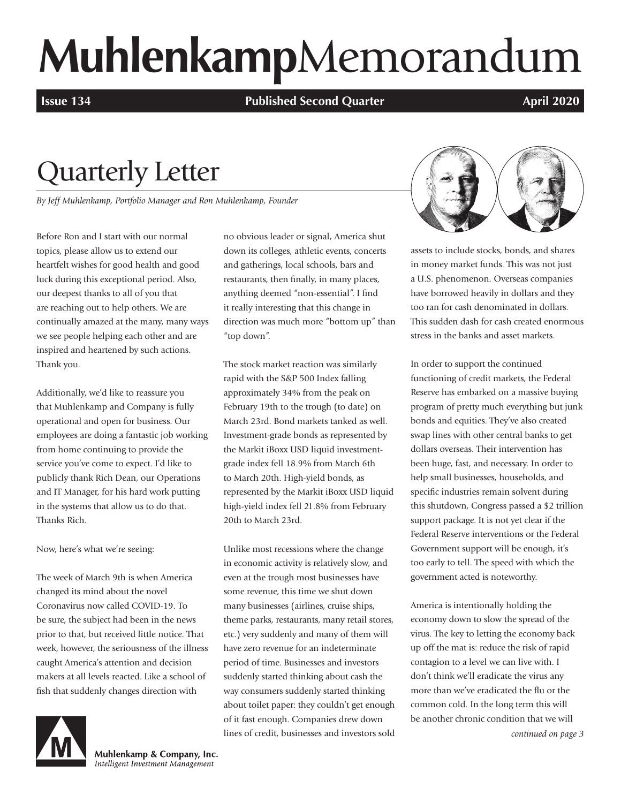# **Muhlenkamp**Memorandum

**Issue 134 Published Second Quarter April 2020** 

# Quarterly Letter

*By Jeff Muhlenkamp, Portfolio Manager and Ron Muhlenkamp, Founder*

Before Ron and I start with our normal topics, please allow us to extend our heartfelt wishes for good health and good luck during this exceptional period. Also, our deepest thanks to all of you that are reaching out to help others. We are continually amazed at the many, many ways we see people helping each other and are inspired and heartened by such actions. Thank you.

Additionally, we'd like to reassure you that Muhlenkamp and Company is fully operational and open for business. Our employees are doing a fantastic job working from home continuing to provide the service you've come to expect. I'd like to publicly thank Rich Dean, our Operations and IT Manager, for his hard work putting in the systems that allow us to do that. Thanks Rich.

Now, here's what we're seeing:

The week of March 9th is when America changed its mind about the novel Coronavirus now called COVID-19. To be sure, the subject had been in the news prior to that, but received little notice. That week, however, the seriousness of the illness caught America's attention and decision makers at all levels reacted. Like a school of fish that suddenly changes direction with



Muhlenkamp & Company, Inc. Intelligent Investment Management

no obvious leader or signal, America shut down its colleges, athletic events, concerts and gatherings, local schools, bars and restaurants, then finally, in many places, anything deemed "non-essential". I find it really interesting that this change in direction was much more "bottom up" than "top down".

The stock market reaction was similarly rapid with the S&P 500 Index falling approximately 34% from the peak on February 19th to the trough (to date) on March 23rd. Bond markets tanked as well. Investment-grade bonds as represented by the Markit iBoxx USD liquid investmentgrade index fell 18.9% from March 6th to March 20th. High-yield bonds, as represented by the Markit iBoxx USD liquid high-yield index fell 21.8% from February 20th to March 23rd.

Unlike most recessions where the change in economic activity is relatively slow, and even at the trough most businesses have some revenue, this time we shut down many businesses (airlines, cruise ships, theme parks, restaurants, many retail stores, etc.) very suddenly and many of them will have zero revenue for an indeterminate period of time. Businesses and investors suddenly started thinking about cash the way consumers suddenly started thinking about toilet paper: they couldn't get enough of it fast enough. Companies drew down lines of credit, businesses and investors sold



assets to include stocks, bonds, and shares in money market funds. This was not just a U.S. phenomenon. Overseas companies have borrowed heavily in dollars and they too ran for cash denominated in dollars. This sudden dash for cash created enormous stress in the banks and asset markets.

In order to support the continued functioning of credit markets, the Federal Reserve has embarked on a massive buying program of pretty much everything but junk bonds and equities. They've also created swap lines with other central banks to get dollars overseas. Their intervention has been huge, fast, and necessary. In order to help small businesses, households, and specific industries remain solvent during this shutdown, Congress passed a \$2 trillion support package. It is not yet clear if the Federal Reserve interventions or the Federal Government support will be enough, it's too early to tell. The speed with which the government acted is noteworthy.

America is intentionally holding the economy down to slow the spread of the virus. The key to letting the economy back up off the mat is: reduce the risk of rapid contagion to a level we can live with. I don't think we'll eradicate the virus any more than we've eradicated the flu or the common cold. In the long term this will be another chronic condition that we will

*continued on page 3*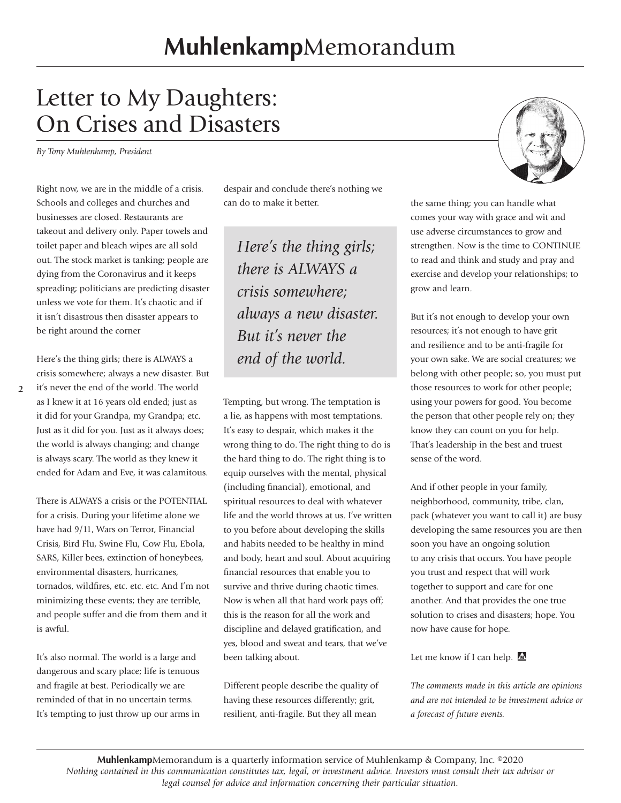# Letter to My Daughters: On Crises and Disasters

*By Tony Muhlenkamp, President* 

Right now, we are in the middle of a crisis. Schools and colleges and churches and businesses are closed. Restaurants are takeout and delivery only. Paper towels and toilet paper and bleach wipes are all sold out. The stock market is tanking; people are dying from the Coronavirus and it keeps spreading; politicians are predicting disaster unless we vote for them. It's chaotic and if it isn't disastrous then disaster appears to be right around the corner

Here's the thing girls; there is ALWAYS a crisis somewhere; always a new disaster. But

**2** it's never the end of the world. The world as I knew it at 16 years old ended; just as it did for your Grandpa, my Grandpa; etc. Just as it did for you. Just as it always does; the world is always changing; and change is always scary. The world as they knew it ended for Adam and Eve, it was calamitous.

There is ALWAYS a crisis or the POTENTIAL for a crisis. During your lifetime alone we have had 9/11, Wars on Terror, Financial Crisis, Bird Flu, Swine Flu, Cow Flu, Ebola, SARS, Killer bees, extinction of honeybees, environmental disasters, hurricanes, tornados, wildfires, etc. etc. etc. And I'm not minimizing these events; they are terrible, and people suffer and die from them and it is awful.

It's also normal. The world is a large and dangerous and scary place; life is tenuous and fragile at best. Periodically we are reminded of that in no uncertain terms. It's tempting to just throw up our arms in despair and conclude there's nothing we can do to make it better. the same thing; you can handle what

*Here's the thing girls; there is ALWAYS a crisis somewhere; always a new disaster. But it's never the end of the world.* 

Tempting, but wrong. The temptation is a lie, as happens with most temptations. It's easy to despair, which makes it the wrong thing to do. The right thing to do is the hard thing to do. The right thing is to equip ourselves with the mental, physical (including financial), emotional, and spiritual resources to deal with whatever life and the world throws at us. I've written to you before about developing the skills and habits needed to be healthy in mind and body, heart and soul. About acquiring financial resources that enable you to survive and thrive during chaotic times. Now is when all that hard work pays off; this is the reason for all the work and discipline and delayed gratification, and yes, blood and sweat and tears, that we've been talking about.

Different people describe the quality of having these resources differently; grit, resilient, anti-fragile. But they all mean



comes your way with grace and wit and use adverse circumstances to grow and strengthen. Now is the time to CONTINUE to read and think and study and pray and exercise and develop your relationships; to grow and learn.

But it's not enough to develop your own resources; it's not enough to have grit and resilience and to be anti-fragile for your own sake. We are social creatures; we belong with other people; so, you must put those resources to work for other people; using your powers for good. You become the person that other people rely on; they know they can count on you for help. That's leadership in the best and truest sense of the word.

And if other people in your family, neighborhood, community, tribe, clan, pack (whatever you want to call it) are busy developing the same resources you are then soon you have an ongoing solution to any crisis that occurs. You have people you trust and respect that will work together to support and care for one another. And that provides the one true solution to crises and disasters; hope. You now have cause for hope.

Let me know if I can help. M

*The comments made in this article are opinions and are not intended to be investment advice or a forecast of future events.*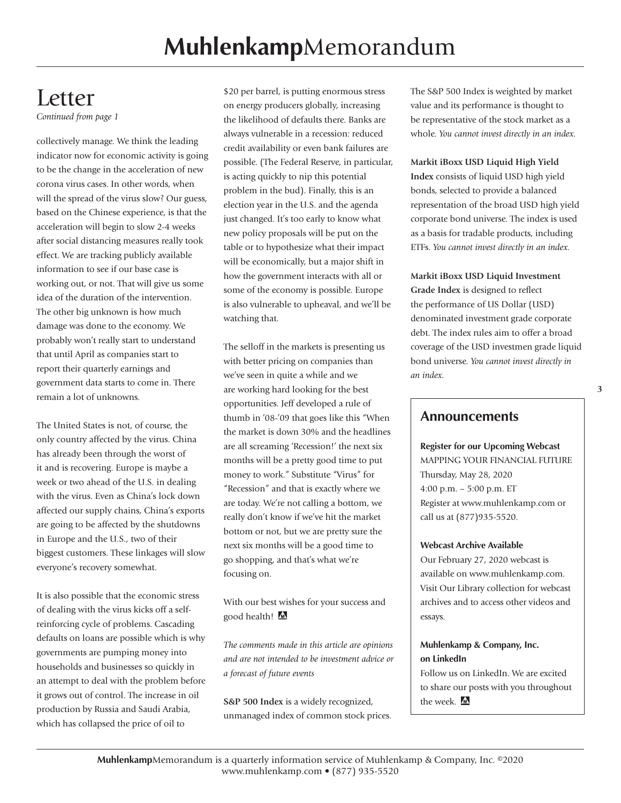# Letter

*Continued from page 1*

collectively manage. We think the leading indicator now for economic activity is going to be the change in the acceleration of new corona virus cases. In other words, when will the spread of the virus slow? Our guess, based on the Chinese experience, is that the acceleration will begin to slow 2-4 weeks after social distancing measures really took effect. We are tracking publicly available information to see if our base case is working out, or not. That will give us some idea of the duration of the intervention. The other big unknown is how much damage was done to the economy. We probably won't really start to understand that until April as companies start to report their quarterly earnings and government data starts to come in. There remain a lot of unknowns.

The United States is not, of course, the only country affected by the virus. China has already been through the worst of it and is recovering. Europe is maybe a week or two ahead of the U.S. in dealing with the virus. Even as China's lock down affected our supply chains, China's exports are going to be affected by the shutdowns in Europe and the U.S., two of their biggest customers. These linkages will slow everyone's recovery somewhat.

It is also possible that the economic stress of dealing with the virus kicks off a selfreinforcing cycle of problems. Cascading defaults on loans are possible which is why governments are pumping money into households and businesses so quickly in an attempt to deal with the problem before it grows out of control. The increase in oil production by Russia and Saudi Arabia, which has collapsed the price of oil to

\$20 per barrel, is putting enormous stress on energy producers globally, increasing the likelihood of defaults there. Banks are always vulnerable in a recession: reduced credit availability or even bank failures are possible. (The Federal Reserve, in particular, is acting quickly to nip this potential problem in the bud). Finally, this is an election year in the U.S. and the agenda just changed. It's too early to know what new policy proposals will be put on the table or to hypothesize what their impact will be economically, but a major shift in how the government interacts with all or some of the economy is possible. Europe is also vulnerable to upheaval, and we'll be watching that.

The selloff in the markets is presenting us with better pricing on companies than we've seen in quite a while and we are working hard looking for the best opportunities. Jeff developed a rule of thumb in '08-'09 that goes like this "When the market is down 30% and the headlines are all screaming 'Recession!' the next six months will be a pretty good time to put money to work." Substitute "Virus" for "Recession" and that is exactly where we are today. We're not calling a bottom, we really don't know if we've hit the market bottom or not, but we are pretty sure the next six months will be a good time to go shopping, and that's what we're focusing on.

With our best wishes for your success and good health!

*The comments made in this article are opinions and are not intended to be investment advice or a forecast of future events* 

**S&P 500 Index** is a widely recognized, unmanaged index of common stock prices. The S&P 500 Index is weighted by market value and its performance is thought to be representative of the stock market as a whole. *You cannot invest directly in an index.*

#### **Markit iBoxx USD Liquid High Yield**

**Index** consists of liquid USD high yield bonds, selected to provide a balanced representation of the broad USD high yield corporate bond universe. The index is used as a basis for tradable products, including ETFs. *You cannot invest directly in an index.*

**Markit iBoxx USD Liquid Investment Grade Index** is designed to reflect the performance of US Dollar (USD) denominated investment grade corporate debt. The index rules aim to offer a broad coverage of the USD investmen grade liquid bond universe. *You cannot invest directly in an index.*

#### **Announcements**

**Register for our Upcoming Webcast**  MAPPING YOUR FINANCIAL FUTURE Thursday, May 28, 2020 4:00 p.m. – 5:00 p.m. ET Register at www.muhlenkamp.com or call us at (877)935-5520.

#### **Webcast Archive Available**

Our February 27, 2020 webcast is available on www.muhlenkamp.com. Visit Our Library collection for webcast archives and to access other videos and essays.

#### **Muhlenkamp & Company, Inc. on LinkedIn**

Follow us on LinkedIn. We are excited to share our posts with you throughout the week. M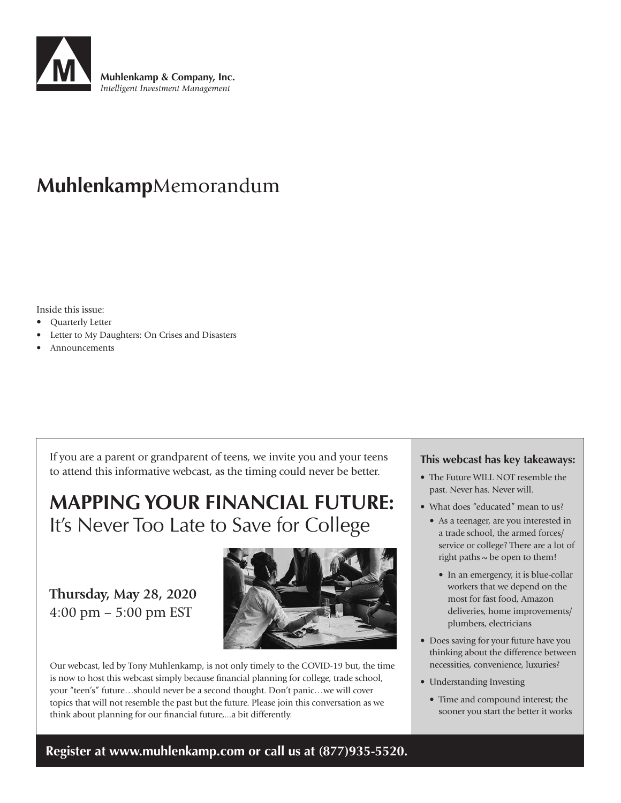

## **Muhlenkamp**Memorandum

Inside this issue:

- Quarterly Letter
- Letter to My Daughters: On Crises and Disasters
- **Announcements**

If you are a parent or grandparent of teens, we invite you and your teens to attend this informative webcast, as the timing could never be better.

## **MAPPING YOUR FINANCIAL FUTURE:**  It's Never Too Late to Save for College

## **Thursday, May 28, 2020**  4:00 pm – 5:00 pm EST



Our webcast, led by Tony Muhlenkamp, is not only timely to the COVID-19 but, the time is now to host this webcast simply because financial planning for college, trade school, your "teen's" future…should never be a second thought. Don't panic…we will cover topics that will not resemble the past but the future. Please join this conversation as we think about planning for our financial future,...a bit differently.

#### **This webcast has key takeaways:**

- The Future WILL NOT resemble the past. Never has. Never will.
- What does "educated" mean to us?
	- As a teenager, are you interested in a trade school, the armed forces/ service or college? There are a lot of right paths  $\sim$  be open to them!
		- In an emergency, it is blue-collar workers that we depend on the most for fast food, Amazon deliveries, home improvements/ plumbers, electricians
- Does saving for your future have you thinking about the difference between necessities, convenience, luxuries?
- Understanding Investing
	- Time and compound interest; the sooner you start the better it works

**Register at www.muhlenkamp.com or call us at (877)935-5520.**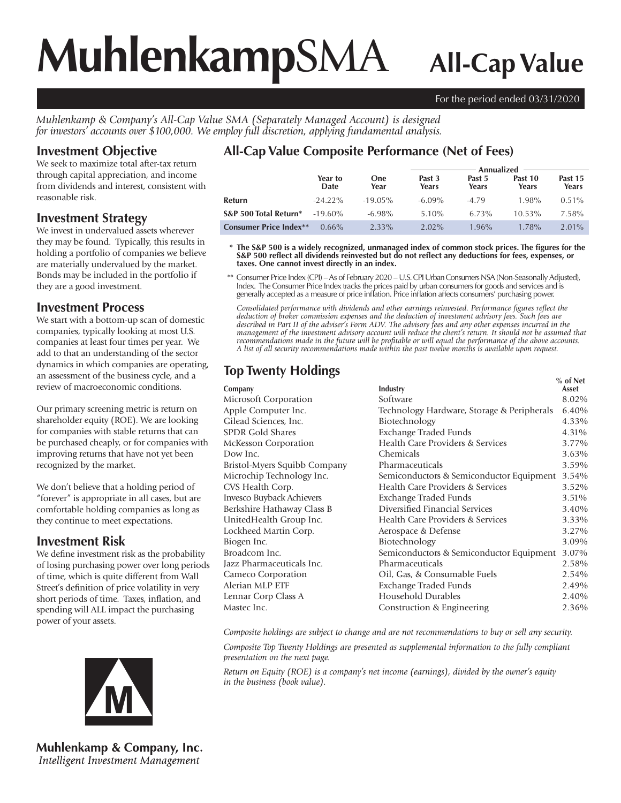# **Muhlenkamp**SMA **All-Cap Value**

#### For the period ended 03/31/2020

*Muhlenkamp & Company's All-Cap Value SMA (Separately Managed Account) is designed for investors' accounts over \$100,000. We employ full discretion, applying fundamental analysis.*

#### **Investment Objective**

We seek to maximize total after-tax return through capital appreciation, and income from dividends and interest, consistent with reasonable risk.

#### **Investment Strategy**

We invest in undervalued assets wherever they may be found. Typically, this results in holding a portfolio of companies we believe are materially undervalued by the market. Bonds may be included in the portfolio if they are a good investment.

#### **Investment Process**

We start with a bottom-up scan of domestic companies, typically looking at most U.S. companies at least four times per year. We add to that an understanding of the sector dynamics in which companies are operating, an assessment of the business cycle, and a review of macroeconomic conditions.

Our primary screening metric is return on shareholder equity (ROE). We are looking for companies with stable returns that can be purchased cheaply, or for companies with improving returns that have not yet been recognized by the market.

We don't believe that a holding period of "forever" is appropriate in all cases, but are comfortable holding companies as long as they continue to meet expectations.

#### **Investment Risk**

We define investment risk as the probability of losing purchasing power over long periods of time, which is quite different from Wall Street's definition of price volatility in very short periods of time. Taxes, inflation, and spending will ALL impact the purchasing power of your assets.



**Muhlenkamp & Company, Inc.** Intelligent Investment Management

## **All-Cap Value Composite Performance (Net of Fees)**

|                               |                 |                    | Annualized ·    |                 |                  |                  |
|-------------------------------|-----------------|--------------------|-----------------|-----------------|------------------|------------------|
|                               | Year to<br>Date | <b>One</b><br>Year | Past 3<br>Years | Past 5<br>Years | Past 10<br>Years | Past 15<br>Years |
| Refurn                        | $-24.22\%$      | $-19.05\%$         | $-6.09\%$       | $-4.79$         | 1.98%            | $0.51\%$         |
| S&P 500 Total Return*         | $-19.60\%$      | $-6.98\%$          | $5.10\%$        | 6.73%           | $10.53\%$        | 7.58%            |
| <b>Consumer Price Index**</b> | $0.66\%$        | 2.33%              | $2.02\%$        | $1.96\%$        | 1.78%            | $2.01\%$         |

 **\* The S&P 500 is a widely recognized, unmanaged index of common stock prices. The figures for the S&P 500 reflect all dividends reinvested but do not reflect any deductions for fees, expenses, or taxes. One cannot invest directly in an index.**

 \*\* Consumer Price Index (CPI) – As of February 2020 – U.S. CPI Urban Consumers NSA (Non-Seasonally Adjusted), Index. The Consumer Price Index tracks the prices paid by urban consumers for goods and services and is generally accepted as a measure of price inflation. Price inflation affects consumers' purchasing power.

*Consolidated performance with dividends and other earnings reinvested. Performance figures reflect the deduction of broker commission expenses and the deduction of investment advisory fees. Such fees are described in Part II of the adviser's Form ADV. The advisory fees and any other expenses incurred in the management of the investment advisory account will reduce the client's return. It should not be assumed that recommendations made in the future will be profitable or will equal the performance of the above accounts. A list of all security recommendations made within the past twelve months is available upon request.*

|                                            | $%$ of Net                                    |
|--------------------------------------------|-----------------------------------------------|
|                                            | Asset                                         |
|                                            | 8.02%                                         |
| Technology Hardware, Storage & Peripherals | 6.40%                                         |
| Biotechnology                              | 4.33%                                         |
|                                            | 4.31%                                         |
| Health Care Providers & Services           | 3.77%                                         |
| Chemicals                                  | 3.63%                                         |
| Pharmaceuticals                            | 3.59%                                         |
| Semiconductors & Semiconductor Equipment   | 3.54%                                         |
| Health Care Providers & Services           | 3.52%                                         |
| Exchange Traded Funds                      | 3.51%                                         |
| Diversified Financial Services             | 3.40%                                         |
| Health Care Providers & Services           | 3.33%                                         |
| Aerospace & Defense                        | 3.27%                                         |
| Biotechnology                              | 3.09%                                         |
| Semiconductors & Semiconductor Equipment   | 3.07%                                         |
| Pharmaceuticals                            | 2.58%                                         |
| Oil, Gas, & Consumable Fuels               | 2.54%                                         |
| Exchange Traded Funds                      | 2.49%                                         |
| Household Durables                         | 2.40%                                         |
| Construction & Engineering                 | 2.36%                                         |
|                                            | Industry<br>Software<br>Exchange Traded Funds |

*Composite holdings are subject to change and are not recommendations to buy or sell any security.*

*Composite Top Twenty Holdings are presented as supplemental information to the fully compliant presentation on the next page.*

*Return on Equity (ROE) is a company's net income (earnings), divided by the owner's equity in the business (book value).*